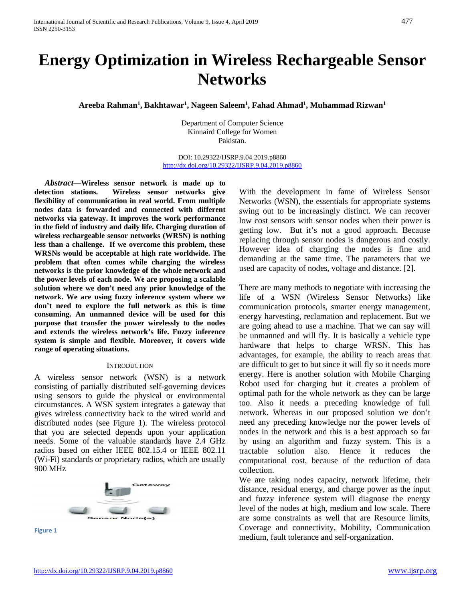# **Energy Optimization in Wireless Rechargeable Sensor Networks**

**Areeba Rahman1 , Bakhtawar1 , Nageen Saleem1 , Fahad Ahmad1 , Muhammad Rizwan1**

Department of Computer Science Kinnaird College for Women Pakistan.

DOI: 10.29322/IJSRP.9.04.2019.p8860 [http://dx.doi.org/10.29322/IJSRP.9.04.2019.p8860](http://dx.doi.org/10.29322/IJSRP.9.03.2019.p8860)

*Abstract***—Wireless sensor network is made up to detection stations. Wireless sensor networks give flexibility of communication in real world. From multiple nodes data is forwarded and connected with different networks via gateway. It improves the work performance in the field of industry and daily life. Charging duration of wireless rechargeable sensor networks (WRSN) is nothing less than a challenge. If we overcome this problem, these WRSNs would be acceptable at high rate worldwide. The problem that often comes while charging the wireless networks is the prior knowledge of the whole network and the power levels of each node. We are proposing a scalable solution where we don't need any prior knowledge of the network. We are using fuzzy inference system where we don't need to explore the full network as this is time consuming. An unmanned device will be used for this purpose that transfer the power wirelessly to the nodes and extends the wireless network's life. Fuzzy inference system is simple and flexible. Moreover, it covers wide range of operating situations.**

#### **INTRODUCTION**

A wireless sensor network (WSN) is a network consisting of partially distributed self-governing devices using sensors to guide the physical or environmental circumstances. A WSN system integrates a gateway that gives wireless connectivity back to the wired world and distributed nodes (see Figure 1). The wireless protocol that you are selected depends upon your application needs. Some of the valuable standards have 2.4 GHz radios based on either IEEE 802.15.4 or IEEE 802.11 (Wi-Fi) standards or proprietary radios, which are usually 900 MHz



**Figure 1**

With the development in fame of Wireless Sensor Networks (WSN), the essentials for appropriate systems swing out to be increasingly distinct. We can recover low cost sensors with sensor nodes when their power is getting low. But it's not a good approach. Because replacing through sensor nodes is dangerous and costly. However idea of charging the nodes is fine and demanding at the same time. The parameters that we used are capacity of nodes, voltage and distance. [2].

There are many methods to negotiate with increasing the life of a WSN (Wireless Sensor Networks) like communication protocols, smarter energy management, energy harvesting, reclamation and replacement. But we are going ahead to use a machine. That we can say will be unmanned and will fly. It is basically a vehicle type hardware that helps to charge WRSN. This has advantages, for example, the ability to reach areas that are difficult to get to but since it will fly so it needs more energy. Here is another solution with Mobile Charging Robot used for charging but it creates a problem of optimal path for the whole network as they can be large too. Also it needs a preceding knowledge of full network. Whereas in our proposed solution we don't need any preceding knowledge nor the power levels of nodes in the network and this is a best approach so far by using an algorithm and fuzzy system. This is a tractable solution also. Hence it reduces the computational cost, because of the reduction of data collection.

We are taking nodes capacity, network lifetime, their distance, residual energy, and charge power as the input and fuzzy inference system will diagnose the energy level of the nodes at high, medium and low scale. There are some constraints as well that are Resource limits, Coverage and connectivity, Mobility, Communication medium, fault tolerance and self-organization.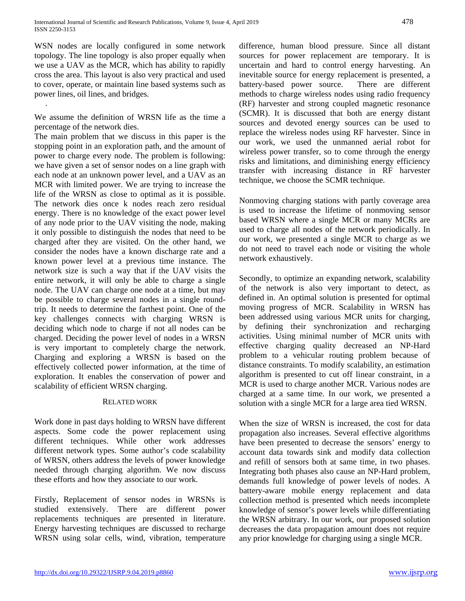WSN nodes are locally configured in some network topology. The line topology is also proper equally when we use a UAV as the MCR, which has ability to rapidly cross the area. This layout is also very practical and used to cover, operate, or maintain line based systems such as power lines, oil lines, and bridges.

We assume the definition of WRSN life as the time a percentage of the network dies.

.

The main problem that we discuss in this paper is the stopping point in an exploration path, and the amount of power to charge every node. The problem is following: we have given a set of sensor nodes on a line graph with each node at an unknown power level, and a UAV as an MCR with limited power. We are trying to increase the life of the WRSN as close to optimal as it is possible. The network dies once k nodes reach zero residual energy. There is no knowledge of the exact power level of any node prior to the UAV visiting the node, making it only possible to distinguish the nodes that need to be charged after they are visited. On the other hand, we consider the nodes have a known discharge rate and a known power level at a previous time instance. The network size is such a way that if the UAV visits the entire network, it will only be able to charge a single node. The UAV can charge one node at a time, but may be possible to charge several nodes in a single roundtrip. It needs to determine the farthest point. One of the key challenges connects with charging WRSN is deciding which node to charge if not all nodes can be charged. Deciding the power level of nodes in a WRSN is very important to completely charge the network. Charging and exploring a WRSN is based on the effectively collected power information, at the time of exploration. It enables the conservation of power and scalability of efficient WRSN charging.

# RELATED WORK

Work done in past days holding to WRSN have different aspects. Some code the power replacement using different techniques. While other work addresses different network types. Some author's code scalability of WRSN, others address the levels of power knowledge needed through charging algorithm. We now discuss these efforts and how they associate to our work.

Firstly, Replacement of sensor nodes in WRSNs is studied extensively. There are different power replacements techniques are presented in literature. Energy harvesting techniques are discussed to recharge WRSN using solar cells, wind, vibration, temperature

difference, human blood pressure. Since all distant sources for power replacement are temporary. It is uncertain and hard to control energy harvesting. An inevitable source for energy replacement is presented, a battery-based power source. There are different methods to charge wireless nodes using radio frequency (RF) harvester and strong coupled magnetic resonance (SCMR). It is discussed that both are energy distant sources and devoted energy sources can be used to replace the wireless nodes using RF harvester. Since in our work, we used the unmanned aerial robot for wireless power transfer, so to come through the energy risks and limitations, and diminishing energy efficiency transfer with increasing distance in RF harvester technique, we choose the SCMR technique.

Nonmoving charging stations with partly coverage area is used to increase the lifetime of nonmoving sensor based WRSN where a single MCR or many MCRs are used to charge all nodes of the network periodically. In our work, we presented a single MCR to charge as we do not need to travel each node or visiting the whole network exhaustively.

Secondly, to optimize an expanding network, scalability of the network is also very important to detect, as defined in. An optimal solution is presented for optimal moving progress of MCR. Scalability in WRSN has been addressed using various MCR units for charging, by defining their synchronization and recharging activities. Using minimal number of MCR units with effective charging quality decreased an NP-Hard problem to a vehicular routing problem because of distance constraints. To modify scalability, an estimation algorithm is presented to cut off linear constraint, in a MCR is used to charge another MCR. Various nodes are charged at a same time. In our work, we presented a solution with a single MCR for a large area tied WRSN.

When the size of WRSN is increased, the cost for data propagation also increases. Several effective algorithms have been presented to decrease the sensors' energy to account data towards sink and modify data collection and refill of sensors both at same time, in two phases. Integrating both phases also cause an NP-Hard problem, demands full knowledge of power levels of nodes. A battery-aware mobile energy replacement and data collection method is presented which needs incomplete knowledge of sensor's power levels while differentiating the WRSN arbitrary. In our work, our proposed solution decreases the data propagation amount does not require any prior knowledge for charging using a single MCR.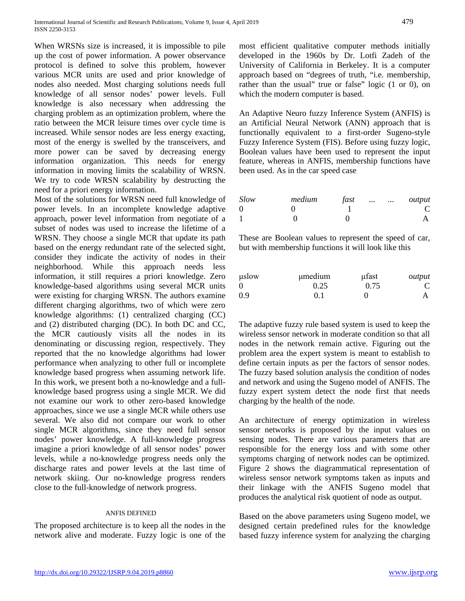When WRSNs size is increased, it is impossible to pile up the cost of power information. A power observance protocol is defined to solve this problem, however various MCR units are used and prior knowledge of nodes also needed. Most charging solutions needs full knowledge of all sensor nodes' power levels. Full knowledge is also necessary when addressing the charging problem as an optimization problem, where the ratio between the MCR leisure times over cycle time is increased. While sensor nodes are less energy exacting, most of the energy is swelled by the transceivers, and more power can be saved by decreasing energy information organization. This needs for energy information in moving limits the scalability of WRSN. We try to code WRSN scalability by destructing the need for a priori energy information.

Most of the solutions for WRSN need full knowledge of power levels. In an incomplete knowledge adaptive approach, power level information from negotiate of a subset of nodes was used to increase the lifetime of a WRSN. They choose a single MCR that update its path based on the energy redundant rate of the selected sight, consider they indicate the activity of nodes in their neighborhood. While this approach needs less information, it still requires a priori knowledge. Zero knowledge-based algorithms using several MCR units were existing for charging WRSN. The authors examine different charging algorithms, two of which were zero knowledge algorithms: (1) centralized charging (CC) and (2) distributed charging (DC). In both DC and CC, the MCR cautiously visits all the nodes in its denominating or discussing region, respectively. They reported that the no knowledge algorithms had lower performance when analyzing to other full or incomplete knowledge based progress when assuming network life. In this work, we present both a no-knowledge and a fullknowledge based progress using a single MCR. We did not examine our work to other zero-based knowledge approaches, since we use a single MCR while others use several. We also did not compare our work to other single MCR algorithms, since they need full sensor nodes' power knowledge. A full-knowledge progress imagine a priori knowledge of all sensor nodes' power levels, while a no-knowledge progress needs only the discharge rates and power levels at the last time of network skiing. Our no-knowledge progress renders close to the full-knowledge of network progress.

# ANFIS DEFINED

The proposed architecture is to keep all the nodes in the network alive and moderate. Fuzzy logic is one of the most efficient qualitative computer methods initially developed in the 1960s by Dr. Lotfi Zadeh of the University of California in Berkeley. It is a computer approach based on "degrees of truth, "i.e. membership, rather than the usual" true or false" logic (1 or 0), on which the modern computer is based.

An Adaptive Neuro fuzzy Inference System (ANFIS) is an Artificial Neural Network (ANN) approach that is functionally equivalent to a first-order Sugeno-style Fuzzy Inference System (FIS). Before using fuzzy logic, Boolean values have been used to represent the input feature, whereas in ANFIS, membership functions have been used. As in the car speed case

| Slow | medium | fast | $\cdots$ | $\cdots$ | output |
|------|--------|------|----------|----------|--------|
| 0    |        |      |          |          |        |
|      |        |      |          |          |        |

These are Boolean values to represent the speed of car, but with membership functions it will look like this

| $\mu$ slow | umedium | ufast | output |
|------------|---------|-------|--------|
| - ()       | 0.25    | 0.75  |        |
| 0.9        | 0.1     |       |        |

The adaptive fuzzy rule based system is used to keep the wireless sensor network in moderate condition so that all nodes in the network remain active. Figuring out the problem area the expert system is meant to establish to define certain inputs as per the factors of sensor nodes. The fuzzy based solution analysis the condition of nodes and network and using the Sugeno model of ANFIS. The fuzzy expert system detect the node first that needs charging by the health of the node.

An architecture of energy optimization in wireless sensor networks is proposed by the input values on sensing nodes. There are various parameters that are responsible for the energy loss and with some other symptoms charging of network nodes can be optimized. Figure 2 shows the diagrammatical representation of wireless sensor network symptoms taken as inputs and their linkage with the ANFIS Sugeno model that produces the analytical risk quotient of node as output.

Based on the above parameters using Sugeno model, we designed certain predefined rules for the knowledge based fuzzy inference system for analyzing the charging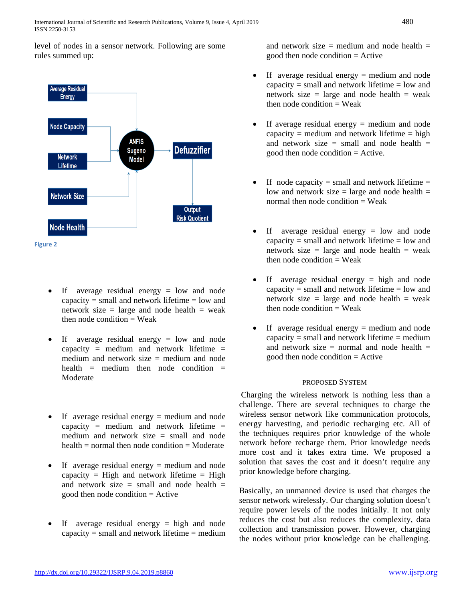level of nodes in a sensor network. Following are some rules summed up:



- If average residual energy  $=$  low and node capacity  $=$  small and network lifetime  $=$  low and network size  $=$  large and node health  $=$  weak then node condition  $=$  Weak
- If average residual energy = low and node capacity = medium and network lifetime = medium and network size  $=$  medium and node health = medium then node condition = Moderate
- If average residual energy = medium and node capacity = medium and network lifetime = medium and network size = small and node  $health = normal$  then node condition  $=$  Moderate
- If average residual energy = medium and node capacity = High and network lifetime = High and network size  $=$  small and node health  $=$ good then node condition = Active
- If average residual energy = high and node capacity  $=$  small and network lifetime  $=$  medium

and network size  $=$  medium and node health  $=$ good then node condition  $=$  Active

- If average residual energy = medium and node capacity  $=$  small and network lifetime  $=$  low and network size  $=$  large and node health  $=$  weak then node condition  $=$  Weak
- If average residual energy  $=$  medium and node capacity = medium and network lifetime = high and network size  $=$  small and node health  $=$ good then node condition = Active.
- If node capacity  $=$  small and network lifetime  $=$ low and network size  $=$  large and node health  $=$ normal then node condition  $=$  Weak
- If average residual energy = low and node capacity  $=$  small and network lifetime  $=$  low and network size  $=$  large and node health  $=$  weak then node condition  $=$  Weak
- If average residual energy = high and node capacity  $=$  small and network lifetime  $=$  low and network size  $=$  large and node health  $=$  weak then node condition  $=$  Weak
- If average residual energy  $=$  medium and node capacity  $=$  small and network lifetime  $=$  medium and network size  $=$  normal and node health  $=$ good then node condition  $=$  Active

# PROPOSED SYSTEM

Charging the wireless network is nothing less than a challenge. There are several techniques to charge the wireless sensor network like communication protocols, energy harvesting, and periodic recharging etc. All of the techniques requires prior knowledge of the whole network before recharge them. Prior knowledge needs more cost and it takes extra time. We proposed a solution that saves the cost and it doesn't require any prior knowledge before charging.

Basically, an unmanned device is used that charges the sensor network wirelessly. Our charging solution doesn't require power levels of the nodes initially. It not only reduces the cost but also reduces the complexity, data collection and transmission power. However, charging the nodes without prior knowledge can be challenging.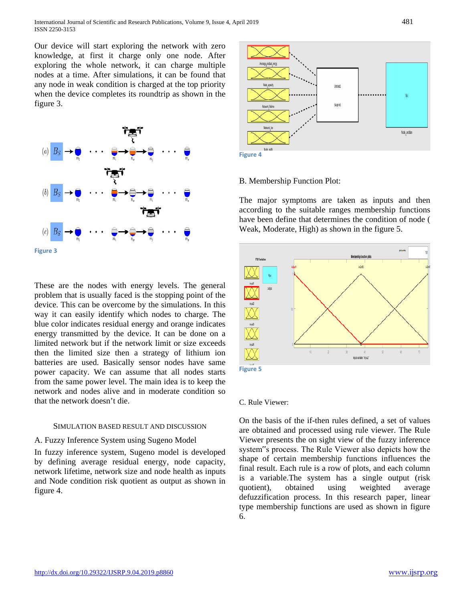Our device will start exploring the network with zero knowledge, at first it charge only one node. After exploring the whole network, it can charge multiple nodes at a time. After simulations, it can be found that any node in weak condition is charged at the top priority when the device completes its roundtrip as shown in the figure 3.



These are the nodes with energy levels. The general problem that is usually faced is the stopping point of the device. This can be overcome by the simulations. In this way it can easily identify which nodes to charge. The blue color indicates residual energy and orange indicates energy transmitted by the device. It can be done on a limited network but if the network limit or size exceeds then the limited size then a strategy of lithium ion batteries are used. Basically sensor nodes have same power capacity. We can assume that all nodes starts from the same power level. The main idea is to keep the network and nodes alive and in moderate condition so that the network doesn't die.

#### SIMULATION BASED RESULT AND DISCUSSION

## A. Fuzzy Inference System using Sugeno Model

In fuzzy inference system, Sugeno model is developed by defining average residual energy, node capacity, network lifetime, network size and node health as inputs and Node condition risk quotient as output as shown in figure 4.



**Figure 4**

## B. Membership Function Plot:

The major symptoms are taken as inputs and then according to the suitable ranges membership functions have been define that determines the condition of node ( Weak, Moderate, High) as shown in the figure 5.



#### C. Rule Viewer:

On the basis of the if-then rules defined, a set of values are obtained and processed using rule viewer. The Rule Viewer presents the on sight view of the fuzzy inference system"s process. The Rule Viewer also depicts how the shape of certain membership functions influences the final result. Each rule is a row of plots, and each column is a variable.The system has a single output (risk quotient), obtained using weighted average defuzzification process. In this research paper, linear type membership functions are used as shown in figure 6.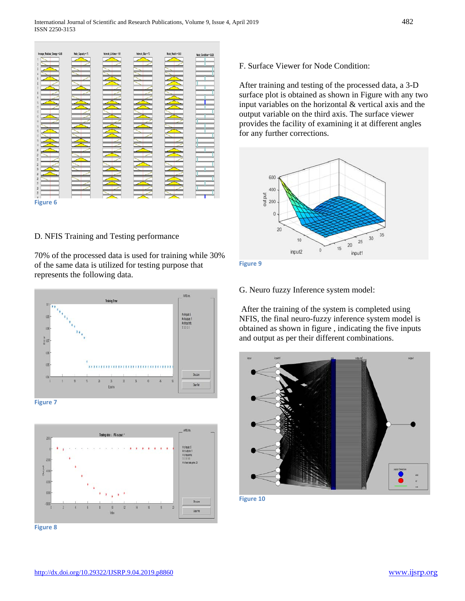

D. NFIS Training and Testing performance

70% of the processed data is used for training while 30% of the same data is utilized for testing purpose that represents the following data.



**Figure 7**



**Figure 8**

F. Surface Viewer for Node Condition:

After training and testing of the processed data, a 3-D surface plot is obtained as shown in Figure with any two input variables on the horizontal & vertical axis and the output variable on the third axis. The surface viewer provides the facility of examining it at different angles for any further corrections.





G. Neuro fuzzy Inference system model:

After the training of the system is completed using NFIS, the final neuro-fuzzy inference system model is obtained as shown in figure , indicating the five inputs and output as per their different combinations.



**Figure 10**